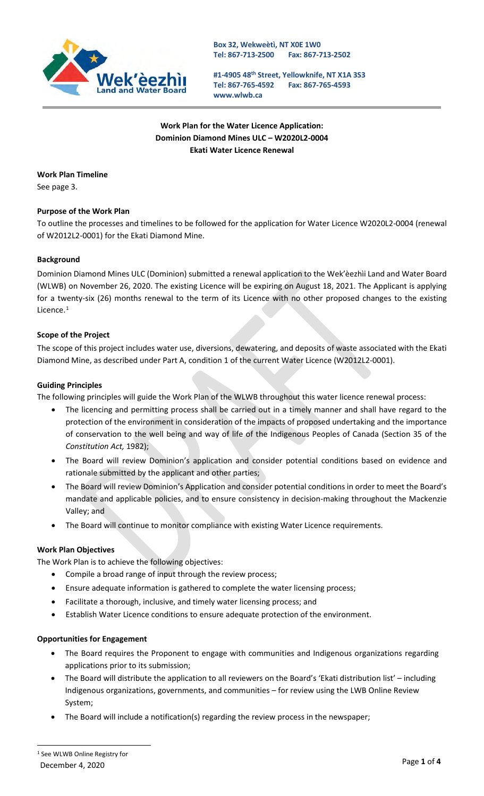

**Box 32, Wekweètì, NT X0E 1W0 Tel: 867-713-2500 Fax: 867-713-2502**

**#1-4905 48th Street, Yellowknife, NT X1A 3S3 Tel: 867-765-4592 [www.wlwb.ca](http://www.wlwb.ca/) Fax: 867-765-4593**

**Work Plan for the Water Licence Application: Dominion Diamond Mines ULC – W2020L2-0004 Ekati Water Licence Renewal**

# **Work Plan Timeline**

See page 3.

# **Purpose of the Work Plan**

To outline the processes and timelines to be followed for the application for Water Licence W2020L2-0004 (renewal of W2012L2-0001) for the Ekati Diamond Mine.

# **Background**

Dominion Diamond Mines ULC (Dominion) submitted a renewal application to the Wek'èezhìi Land and Water Board (WLWB) on November 26, 2020. The existing Licence will be expiring on August 18, 2021. The Applicant is applying for a twenty-six (26) months renewal to the term of its Licence with no other proposed changes to the existing Licence.<sup>[1](#page-0-0)</sup>

# **Scope of the Project**

The scope of this project includes water use, diversions, dewatering, and deposits of waste associated with the Ekati Diamond Mine, as described under Part A, condition 1 of the current Water Licence (W2012L2-0001).

# **Guiding Principles**

The following principles will guide the Work Plan of the WLWB throughout this water licence renewal process:

- The licencing and permitting process shall be carried out in a timely manner and shall have regard to the protection of the environment in consideration of the impacts of proposed undertaking and the importance of conservation to the well being and way of life of the Indigenous Peoples of Canada (Section 35 of the *Constitution Act,* 1982);
- The Board will review Dominion's application and consider potential conditions based on evidence and rationale submitted by the applicant and other parties;
- The Board will review Dominion's Application and consider potential conditions in order to meet the Board's mandate and applicable policies, and to ensure consistency in decision-making throughout the Mackenzie Valley; and
- The Board will continue to monitor compliance with existing Water Licence requirements.

## **Work Plan Objectives**

The Work Plan is to achieve the following objectives:

- Compile a broad range of input through the review process;
- Ensure adequate information is gathered to complete the water licensing process;
- Facilitate a thorough, inclusive, and timely water licensing process; and
- Establish Water Licence conditions to ensure adequate protection of the environment.

## **Opportunities for Engagement**

- The Board requires the Proponent to engage with communities and Indigenous organizations regarding applications prior to its submission;
- The Board will distribute the application to all reviewers on the Board's 'Ekati distribution list' including Indigenous organizations, governments, and communities – for review using the LWB Online Review System;
- <span id="page-0-0"></span>• The Board will include a notification(s) regarding the review process in the newspaper;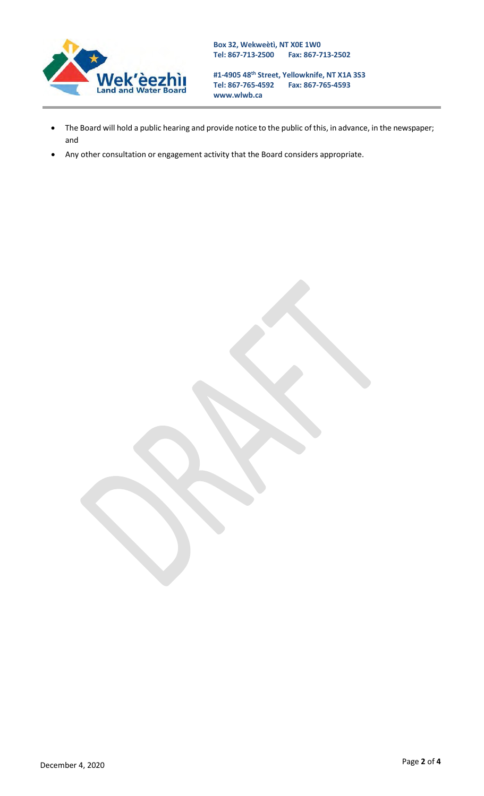

**#1-4905 48th Street, Yellowknife, NT X1A 3S3 Tel: 867-765-4592 Fax: 867-765-4593 [www.wlwb.ca](http://www.wlwb.ca/)**

- The Board will hold a public hearing and provide notice to the public of this, in advance, in the newspaper; and
- Any other consultation or engagement activity that the Board considers appropriate.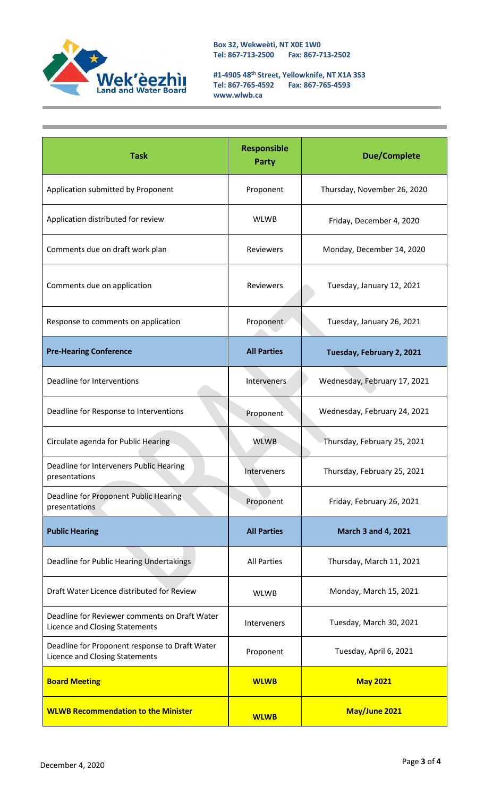

**Box 32, Wekweètì, NT X0E 1W0 Tel: 867-713-2500 Fax: 867-713-2502**

**#1-4905 48th Street, Yellowknife, NT X1A 3S3 Tel: 867-765-4592 Fax: 867-765-4593 [www.wlwb.ca](http://www.wlwb.ca/)**

| <b>Task</b>                                                                      | <b>Responsible</b><br><b>Party</b> | <b>Due/Complete</b>          |
|----------------------------------------------------------------------------------|------------------------------------|------------------------------|
| Application submitted by Proponent                                               | Proponent                          | Thursday, November 26, 2020  |
| Application distributed for review                                               | <b>WLWB</b>                        | Friday, December 4, 2020     |
| Comments due on draft work plan                                                  | <b>Reviewers</b>                   | Monday, December 14, 2020    |
| Comments due on application                                                      | Reviewers                          | Tuesday, January 12, 2021    |
| Response to comments on application                                              | Proponent                          | Tuesday, January 26, 2021    |
| <b>Pre-Hearing Conference</b>                                                    | <b>All Parties</b>                 | Tuesday, February 2, 2021    |
| Deadline for Interventions                                                       | Interveners                        | Wednesday, February 17, 2021 |
| Deadline for Response to Interventions                                           | Proponent                          | Wednesday, February 24, 2021 |
| Circulate agenda for Public Hearing                                              | <b>WLWB</b>                        | Thursday, February 25, 2021  |
| Deadline for Interveners Public Hearing<br>presentations                         | Interveners                        | Thursday, February 25, 2021  |
| Deadline for Proponent Public Hearing<br>presentations                           | Proponent                          | Friday, February 26, 2021    |
| <b>Public Hearing</b>                                                            | <b>All Parties</b>                 | <b>March 3 and 4, 2021</b>   |
| Deadline for Public Hearing Undertakings                                         | <b>All Parties</b>                 | Thursday, March 11, 2021     |
| Draft Water Licence distributed for Review                                       | <b>WLWB</b>                        | Monday, March 15, 2021       |
| Deadline for Reviewer comments on Draft Water<br>Licence and Closing Statements  | Interveners                        | Tuesday, March 30, 2021      |
| Deadline for Proponent response to Draft Water<br>Licence and Closing Statements | Proponent                          | Tuesday, April 6, 2021       |
| <b>Board Meeting</b>                                                             | <b>WLWB</b>                        | <b>May 2021</b>              |
| <b>WLWB Recommendation to the Minister</b>                                       | <b>WLWB</b>                        | May/June 2021                |